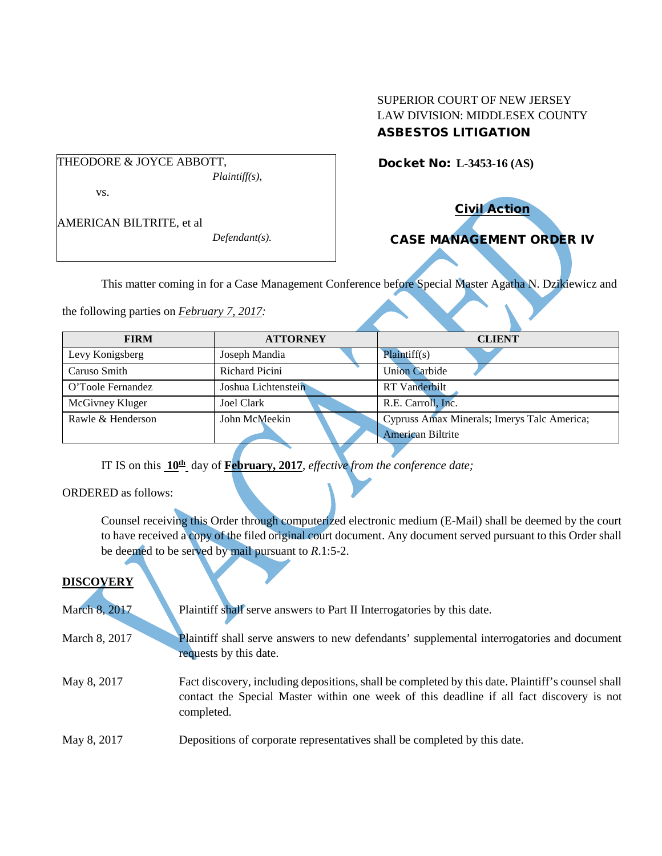## SUPERIOR COURT OF NEW JERSEY LAW DIVISION: MIDDLESEX COUNTY ASBESTOS LITIGATION

THEODORE & JOYCE ABBOTT, *Plaintiff(s),*

vs.

AMERICAN BILTRITE, et al

*Defendant(s).*

Docket No: **L-3453-16 (AS)** 

Civil Action

# CASE MANAGEMENT ORDER IV

This matter coming in for a Case Management Conference before Special Master Agatha N. Dzikiewicz and

the following parties on *February 7, 2017:*

| <b>FIRM</b>       | <b>ATTORNEY</b>     | <b>CLIENT</b>                                                    |
|-------------------|---------------------|------------------------------------------------------------------|
| Levy Konigsberg   | Joseph Mandia       | Plaintiff(s)                                                     |
| Caruso Smith      | Richard Picini      | <b>Union Carbide</b>                                             |
| O'Toole Fernandez | Joshua Lichtenstein | <b>RT</b> Vanderbilt                                             |
| McGivney Kluger   | Joel Clark          | R.E. Carroll, Inc.                                               |
| Rawle & Henderson | John McMeekin       | Cypruss Amax Minerals; Imerys Talc America;<br>American Biltrite |

IT IS on this **10th** day of **February, 2017**, *effective from the conference date;*

ORDERED as follows:

Counsel receiving this Order through computerized electronic medium (E-Mail) shall be deemed by the court to have received a copy of the filed original court document. Any document served pursuant to this Order shall be deemed to be served by mail pursuant to *R*.1:5-2.

## **DISCOVERY**

| March 8, 2017 | Plaintiff shall serve answers to Part II Interrogatories by this date.                                                                                                                                      |
|---------------|-------------------------------------------------------------------------------------------------------------------------------------------------------------------------------------------------------------|
| March 8, 2017 | Plaintiff shall serve answers to new defendants' supplemental interrogatories and document<br>requests by this date.                                                                                        |
| May 8, 2017   | Fact discovery, including depositions, shall be completed by this date. Plaintiff's counsel shall<br>contact the Special Master within one week of this deadline if all fact discovery is not<br>completed. |
| May 8, 2017   | Depositions of corporate representatives shall be completed by this date.                                                                                                                                   |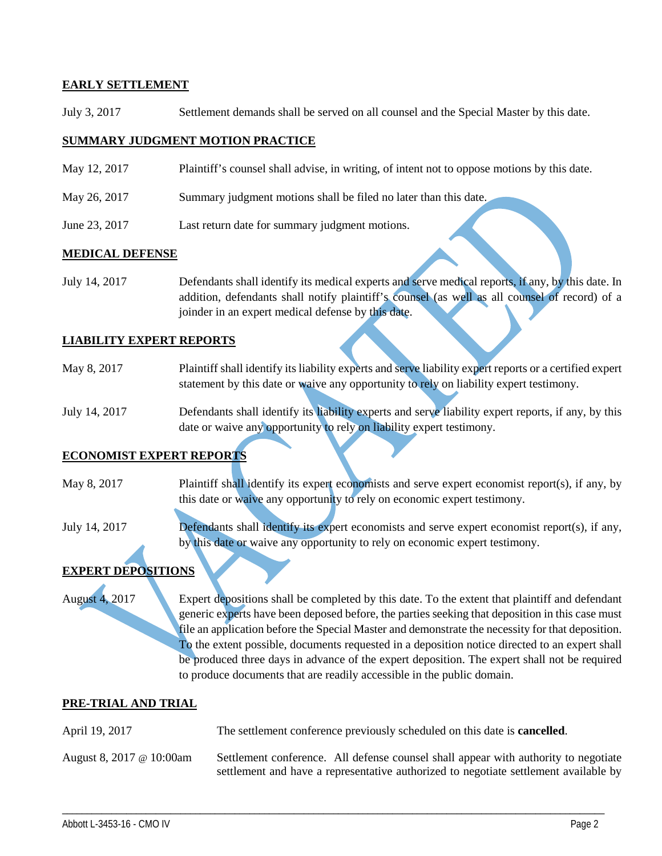## **EARLY SETTLEMENT**

July 3, 2017 Settlement demands shall be served on all counsel and the Special Master by this date.

### **SUMMARY JUDGMENT MOTION PRACTICE**

- May 12, 2017 Plaintiff's counsel shall advise, in writing, of intent not to oppose motions by this date.
- May 26, 2017 Summary judgment motions shall be filed no later than this date.
- June 23, 2017 Last return date for summary judgment motions.

#### **MEDICAL DEFENSE**

July 14, 2017 Defendants shall identify its medical experts and serve medical reports, if any, by this date. In addition, defendants shall notify plaintiff's counsel (as well as all counsel of record) of a joinder in an expert medical defense by this date.

#### **LIABILITY EXPERT REPORTS**

- May 8, 2017 Plaintiff shall identify its liability experts and serve liability expert reports or a certified expert statement by this date or waive any opportunity to rely on liability expert testimony.
- July 14, 2017 Defendants shall identify its liability experts and serve liability expert reports, if any, by this date or waive any opportunity to rely on liability expert testimony.

#### **ECONOMIST EXPERT REPORTS**

- May 8, 2017 Plaintiff shall identify its expert economists and serve expert economist report(s), if any, by this date or waive any opportunity to rely on economic expert testimony.
- July 14, 2017 Defendants shall identify its expert economists and serve expert economist report(s), if any, by this date or waive any opportunity to rely on economic expert testimony.

## **EXPERT DEPOSITIONS**

August 4, 2017 Expert depositions shall be completed by this date. To the extent that plaintiff and defendant generic experts have been deposed before, the parties seeking that deposition in this case must file an application before the Special Master and demonstrate the necessity for that deposition. To the extent possible, documents requested in a deposition notice directed to an expert shall be produced three days in advance of the expert deposition. The expert shall not be required to produce documents that are readily accessible in the public domain.

#### **PRE-TRIAL AND TRIAL**

- April 19, 2017 The settlement conference previously scheduled on this date is **cancelled**.
- August 8, 2017 @ 10:00am Settlement conference. All defense counsel shall appear with authority to negotiate settlement and have a representative authorized to negotiate settlement available by

\_\_\_\_\_\_\_\_\_\_\_\_\_\_\_\_\_\_\_\_\_\_\_\_\_\_\_\_\_\_\_\_\_\_\_\_\_\_\_\_\_\_\_\_\_\_\_\_\_\_\_\_\_\_\_\_\_\_\_\_\_\_\_\_\_\_\_\_\_\_\_\_\_\_\_\_\_\_\_\_\_\_\_\_\_\_\_\_\_\_\_\_\_\_\_\_\_\_\_\_\_\_\_\_\_\_\_\_\_\_